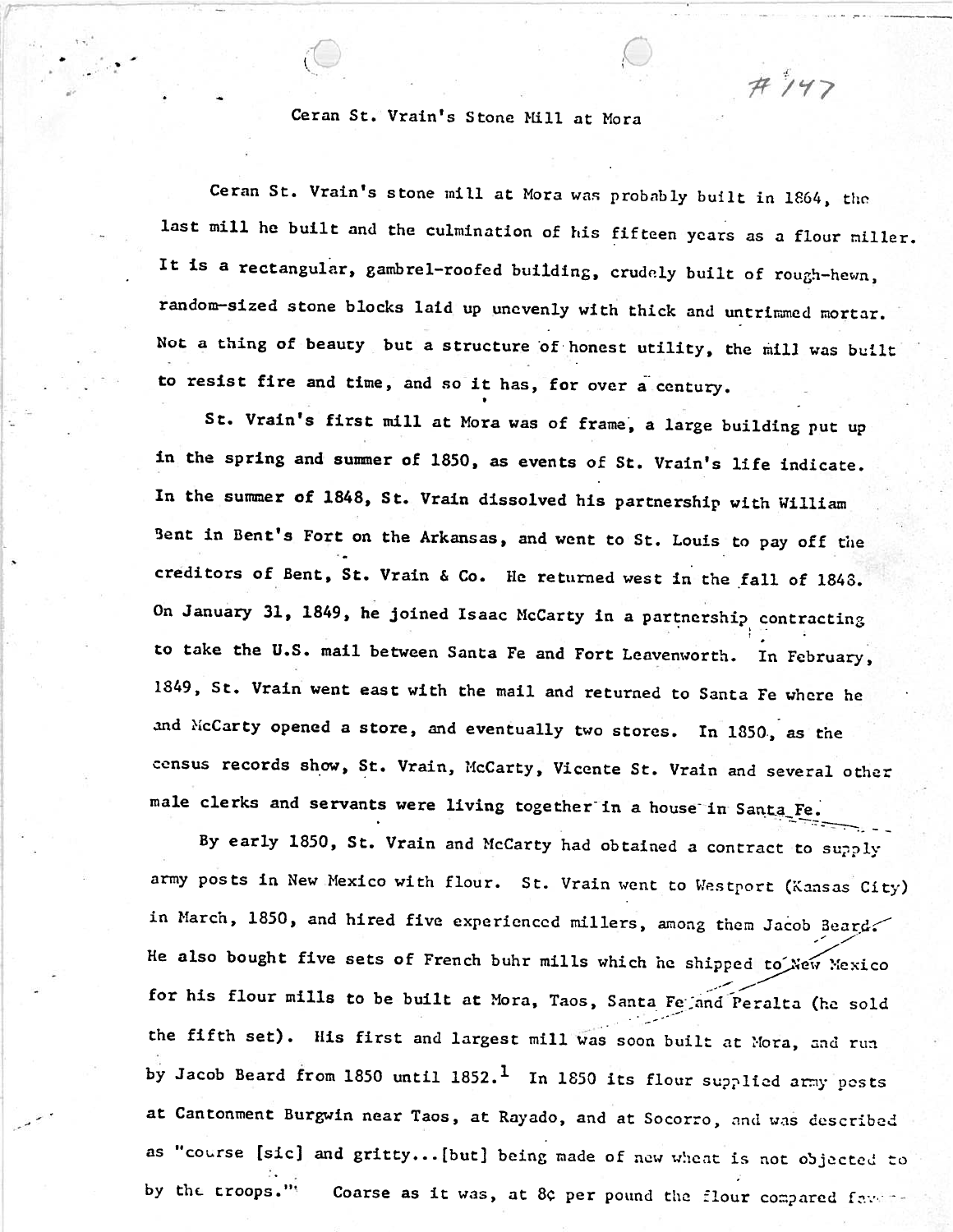Ceran St. Vrain's Stone Mill at Mora

**I** 

Ceran St. Vrain's stone mill at Mora was probably built in 1864, the last mill hc built and the culmination of his fifteen ycars as a flour niller. It is a rectangular, gambrel-roofed building, crudely built of rough-hewn, random-sized stone blocks laid up unevenly with thick and untrimmed mortar. Not a thing of beauty, but a structure of honest utility, the mill was built to resist fire and time, and so it has, for over a century

 $H147$ 

St. Vrain's first mill at Mora was of frame, a large building put up in the spring and sumer of 1850, as events of St. Vrain's life indicate. In **the** sumer of 1848, St. Vrain dissolved his partnership with William Bent in Bent's Fort on the Arkansas, and went to St. Louis to pay off the creditors of Bent, St. Vrain **6** Co. Me returned west in the ,fall of 1848. On January 31, 1849, he joined Isaac McCarty in a partnership contracting to take the U.S. mail between Santa Fe and Fort Leavenworth. In February, 1849, St. Vrain went east with the mail and returned to Santa Fe where he and >icCarty opened a store, and eventually two stores. In 1850, **as** the census records show, St. Vrain, McCarty, Vicente St. Vrain and several other male clerks and servants were living together in a house in Santa-Fe.

By early 1850, St. Vrain and McCarty had obtained a contract to supply army posts in New Mexico with flour. St. Vrain went to **t!es** tport **(Kansas** City) in March, 1850, and hired five experienced millers, among them Jacob Beard. He also bought five sets of French buhr mills which he shipped to You You so  $\cdot$ ... for his flour mills to be built at Mora, Taos, Santa Fe and Peralta (he sold the fifth set). His first and largest mill was soon built at Mora, and run by Jacob Beard from 1850 until 1852.<sup>1</sup> In 1850 its flour supplied army posts at Cantonment **Burgwin** near Taos, at Rayado, and at Socorro, **2nd** was **described**  as "cotrse [sic] and gritty.. . [but] being nade of new **w!:c;lt is** not objected **:O I.** . by the troops."<sup>(</sup> Coarse as it was, at 8¢ per pound the flour compared favore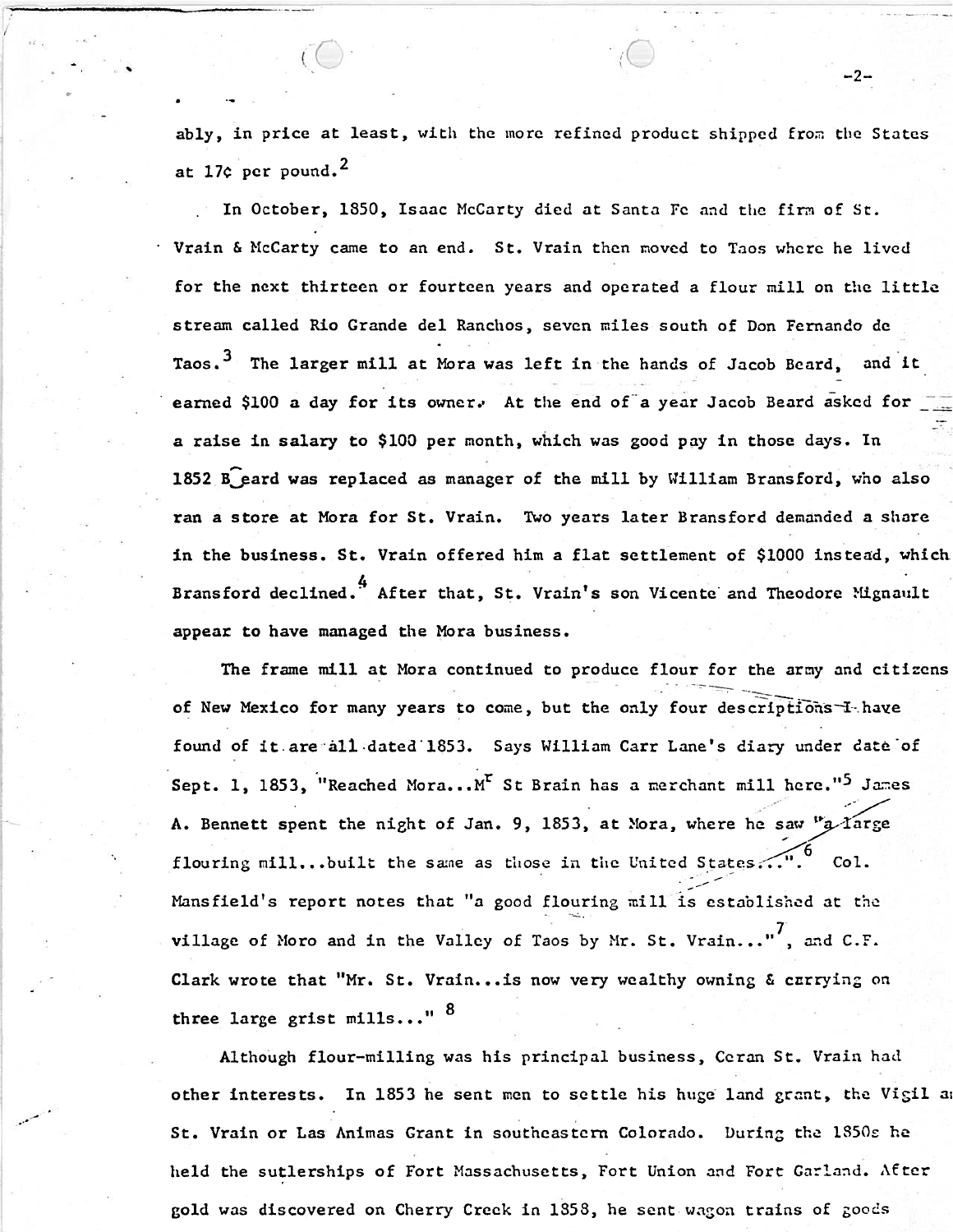ably, in price at least, with the more refined product shipped from the States at 17¢ per pound.<sup>2</sup>

-2-

In October, 1850, Isaac McCarty died at Santa Fe and the firm of St. Vrain & McCarty came to an end. St. Vrain then moved to Taos where he lived for the next thirteen or fourteen years and operated a flour mill on the little stream called Rio Grande del Ranchos, seven miles south of Don Fernando de Taos.<sup>3</sup> The larger mill at Mora was left in the hands of Jacob Beard, and it earned \$100 a day for its owner. At the end of a year Jacob Beard asked for a raise in salary to \$100 per month, which was good pay in those days. In 1852 B eard was replaced as manager of the mill by William Bransford, who also ran a store at Mora for St. Vrain. Two years later Bransford demanded a share in the business. St. Vrain offered him a flat settlement of \$1000 instead, which Bransford declined.<sup>4</sup> After that, St. Vrain's son Vicente and Theodore Mignault appear to have managed the Mora business.

The frame mill at Mora continued to produce flour for the army and citizens of New Mexico for many years to come, but the only four descriptions I have found of it are all dated 1853. Says William Carr Lane's diary under date of Sept. 1, 1853, "Reached Mora... M" St Brain has a merchant mill here."<sup>5</sup> James A. Bennett spent the night of Jan. 9, 1853, at Mora, where he saw "a large flouring mill...built the same as those in the United States...". Col. Mansfield's report notes that "a good flouring mill is established at the village of Moro and in the Valley of Taos by Mr. St. Vrain..."<sup>7</sup>, and C.F. Clark wrote that "Mr. St. Vrain... is now very wealthy owning & carrying on three large grist mills..." <sup>8</sup>

Although flour-milling was his principal business, Ceran St. Vrain had other interests. In 1853 he sent men to settle his huge land grant, the Vigil and St. Vrain or Las Animas Grant in southeastern Colorado. During the 1850s he held the sutlerships of Fort Massachusetts, Fort Union and Fort Garland. After gold was discovered on Cherry Creck in 1858, he sent wagon trains of goods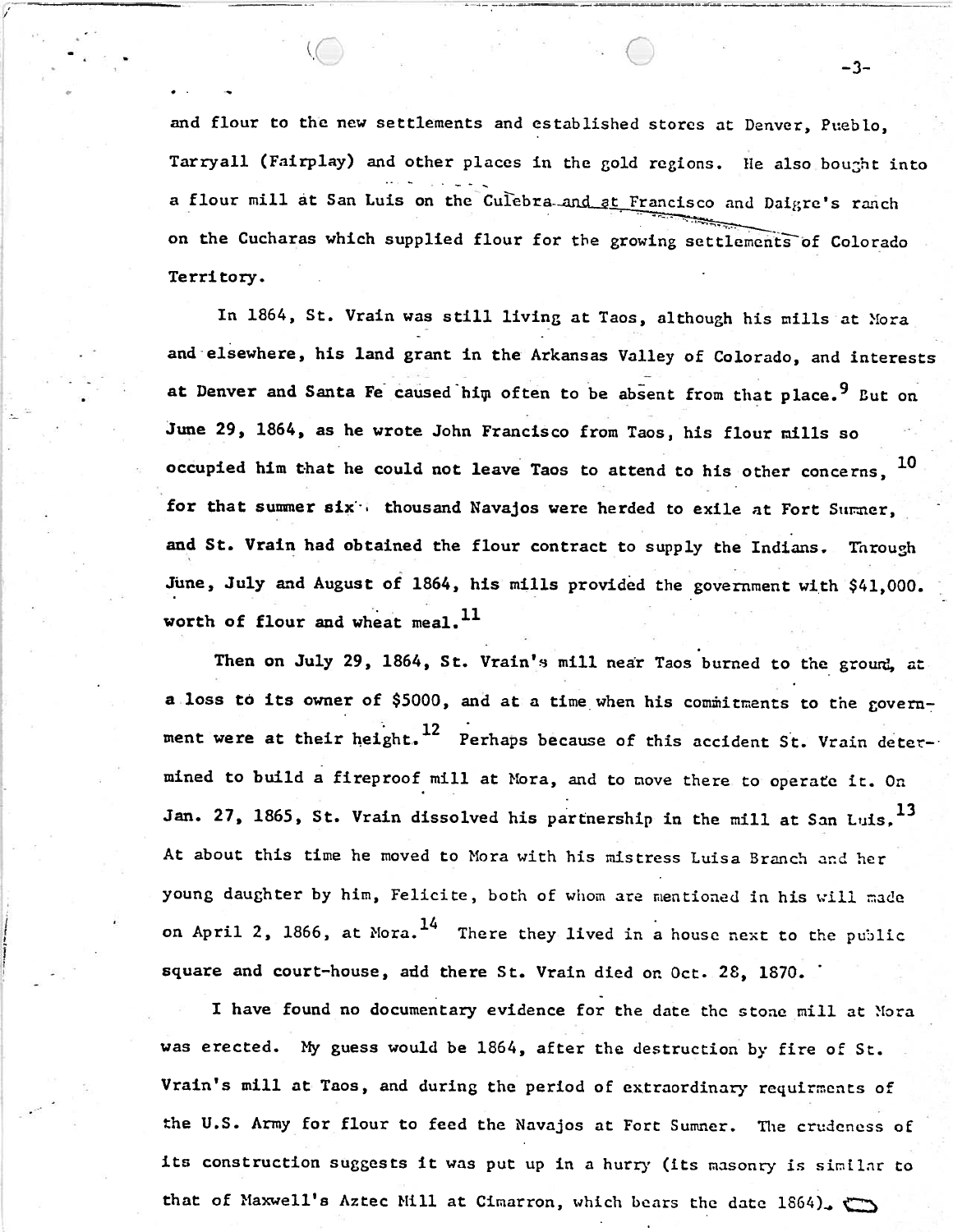and flour to the new settlements and established stores at **Denver,** Pueblo, Tarryall (Fairplay) and other places in the gold regions. He also bought into .- - . . --. a flour mill at San Luis on the Culebra-and at Francisco and Daigre's ranch on the Cucharas which supplied flour for **the** grow Territory.

 $-3-$ 

In 1864, St. Vrain was still living at Taos, although his mills at Xora and elsewhere, his land grant in the Arkansas Valley of Colorado, and interests .. . at Denver and Santa Fe caused him often to be absent from that place.<sup>9</sup> But on June 29, 1864, as he wrote John Francisco from Taos, his flour mills so occupied him that he could not leave Taos to attend to his other concerns,  $10$ for that summer six<sup>t</sup>: thousand Navajos were herded to exile at Fort Surmer, and St. Vrain had obtained the flour contract to supply the Indians. Through June, July and August of 1864, his mills provided the government with \$41,000. worth of flour and wheat meal.  $^{11}$ 

, .-

Then on July 29, 1864, St. Vrain's mill near Taos burned to the ground, at a loss to its owner of \$5000, and at a time when his commitments to the government were at their height.<sup>12</sup> Perhaps because of this accident St. Vrain determined to build a fireproof mill at Hora, and to nove there to operate it. On Jan. 27, 1865, St. Vrain dissolved his partnership in the mill at San Luis. 13 At about this time he moved to Mora with his mistress Luisa Branch and her young daughter by him, Felicite, both of whom are mentioned in his will made on April 2, 1866, at Mora.  $^{14}$  There they lived in a house next to the public square and court-house, add there St. Vrain died on Oct. 28, 1870. '

I have found no documentary evidence for the date the stone mill at Nora was erected. My guess would be 1864, after the destruction by fire of St. Vrain's mill at Taos, and during the period of extraordinary requirments of the U.S. Army for flour to feed the Navajos at Fort Sumner. The crudcncss oE its construction suggests it was put up in a hurry (its masonry is sinllar to that of Maxwell's Aztec Mill at Cimarron, which bears the date 1864).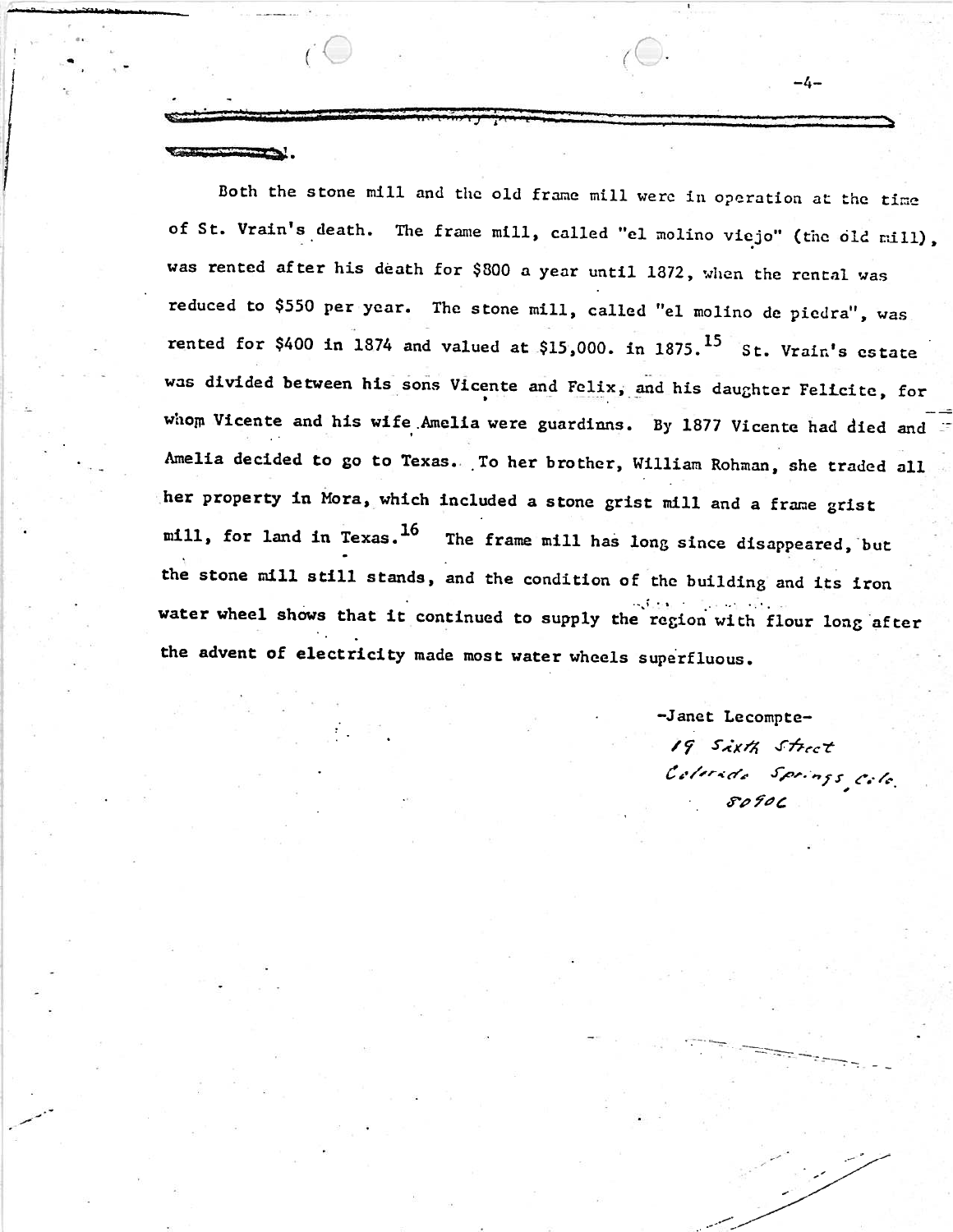Both the stone mill and the old frame mill were in operation at the time of St. Vrain's death. The frame mill, called "el molino viejo" (the old nill), was rented after his death for \$300 a year until 1872, when the rental was reduced to \$550 per year. The stone mill, called "el molino de piedra", **was**  rented for \$400 in 1874 and valued at \$15,000. in 1875.<sup>15</sup> St. Vrain's estate was divided between his sons Vicente and Felix, and his daughter Felicite, for whom Vicente and his wife Amelia were guardinns. By 1877 Vicente had died and Amelia decided to go to Texas. To her brother, William Rohman, she traded all her property in Mora, which included a stone grist mill and a frame grist mill, for land in Texas.<sup>16</sup> The frame mill has long since disappeared, but the stone nil1 still stands, and the condition of the building and its iron **.-,<sup>I</sup>**. . . , .: . . . .. water wheel shows that it continued to supply the recion with flour long after. the advent of electricity made most water wheels superfluous .

> -Janet Lecompte- 19 Sixth Street Colerado Springs<sub>, Colo</sub>

 $-4-$